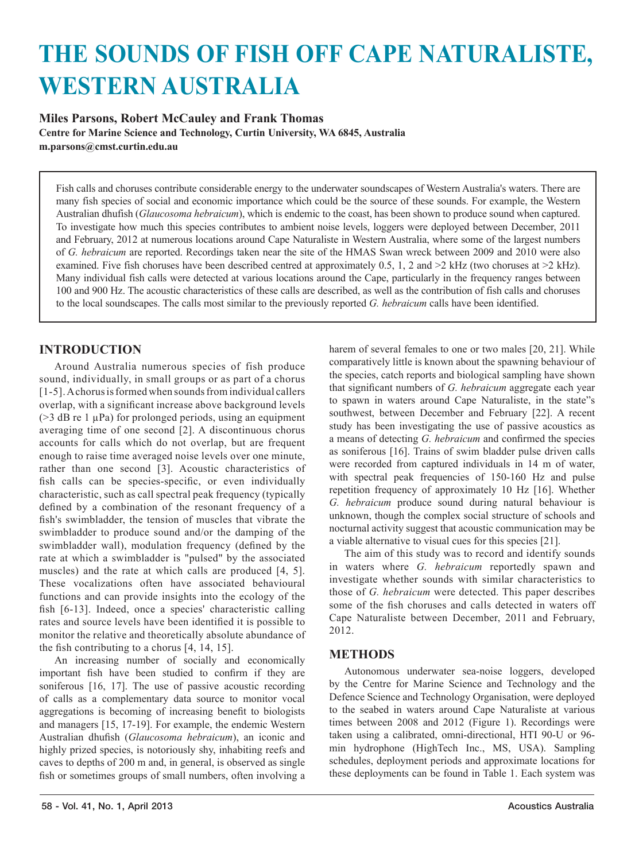# **THE SOUNDS OF FISH OFF CAPE NATURALISTE, WESTERN AUSTRALIA**

**Miles Parsons, Robert McCauley and Frank Thomas Centre for Marine Science and Technology, Curtin University, WA 6845, Australia m.parsons@cmst.curtin.edu.au**

Fish calls and choruses contribute considerable energy to the underwater soundscapes of Western Australia's waters. There are many fish species of social and economic importance which could be the source of these sounds. For example, the Western Australian dhufish (*Glaucosoma hebraicum*), which is endemic to the coast, has been shown to produce sound when captured. To investigate how much this species contributes to ambient noise levels, loggers were deployed between December, 2011 and February, 2012 at numerous locations around Cape Naturaliste in Western Australia, where some of the largest numbers of *G. hebraicum* are reported. Recordings taken near the site of the HMAS Swan wreck between 2009 and 2010 were also examined. Five fish choruses have been described centred at approximately 0.5, 1, 2 and  $>2$  kHz (two choruses at  $>2$  kHz). Many individual fish calls were detected at various locations around the Cape, particularly in the frequency ranges between 100 and 900 Hz. The acoustic characteristics of these calls are described, as well as the contribution of fish calls and choruses to the local soundscapes. The calls most similar to the previously reported *G. hebraicum* calls have been identified.

## **INTRODUCTION**

Around Australia numerous species of fish produce sound, individually, in small groups or as part of a chorus [1-5]. A chorus is formed when sounds from individual callers overlap, with a significant increase above background levels (>3 dB re 1 μPa) for prolonged periods, using an equipment averaging time of one second [2]. A discontinuous chorus accounts for calls which do not overlap, but are frequent enough to raise time averaged noise levels over one minute, rather than one second [3]. Acoustic characteristics of fish calls can be species-specific, or even individually characteristic, such as call spectral peak frequency (typically defined by a combination of the resonant frequency of a fish's swimbladder, the tension of muscles that vibrate the swimbladder to produce sound and/or the damping of the swimbladder wall), modulation frequency (defined by the rate at which a swimbladder is "pulsed" by the associated muscles) and the rate at which calls are produced [4, 5]. These vocalizations often have associated behavioural functions and can provide insights into the ecology of the fish [6-13]. Indeed, once a species' characteristic calling rates and source levels have been identified it is possible to monitor the relative and theoretically absolute abundance of the fish contributing to a chorus  $[4, 14, 15]$ .

An increasing number of socially and economically important fish have been studied to confirm if they are soniferous [16, 17]. The use of passive acoustic recording of calls as a complementary data source to monitor vocal aggregations is becoming of increasing benefit to biologists and managers [15, 17-19]. For example, the endemic Western Australian dhufish (*Glaucosoma hebraicum*), an iconic and highly prized species, is notoriously shy, inhabiting reefs and caves to depths of 200 m and, in general, is observed as single fish or sometimes groups of small numbers, often involving a harem of several females to one or two males [20, 21]. While comparatively little is known about the spawning behaviour of the species, catch reports and biological sampling have shown that significant numbers of *G. hebraicum* aggregate each year to spawn in waters around Cape Naturaliste, in the state"s southwest, between December and February [22]. A recent study has been investigating the use of passive acoustics as a means of detecting *G. hebraicum* and confirmed the species as soniferous [16]. Trains of swim bladder pulse driven calls were recorded from captured individuals in 14 m of water, with spectral peak frequencies of 150-160 Hz and pulse repetition frequency of approximately 10 Hz [16]. Whether *G. hebraicum* produce sound during natural behaviour is unknown, though the complex social structure of schools and nocturnal activity suggest that acoustic communication may be a viable alternative to visual cues for this species [21].

The aim of this study was to record and identify sounds in waters where *G. hebraicum* reportedly spawn and investigate whether sounds with similar characteristics to those of *G. hebraicum* were detected. This paper describes some of the fish choruses and calls detected in waters off Cape Naturaliste between December, 2011 and February, 2012.

# **METHODS**

Autonomous underwater sea-noise loggers, developed by the Centre for Marine Science and Technology and the Defence Science and Technology Organisation, were deployed to the seabed in waters around Cape Naturaliste at various times between 2008 and 2012 (Figure 1). Recordings were taken using a calibrated, omni-directional, HTI 90-U or 96 min hydrophone (HighTech Inc., MS, USA). Sampling schedules, deployment periods and approximate locations for these deployments can be found in Table 1. Each system was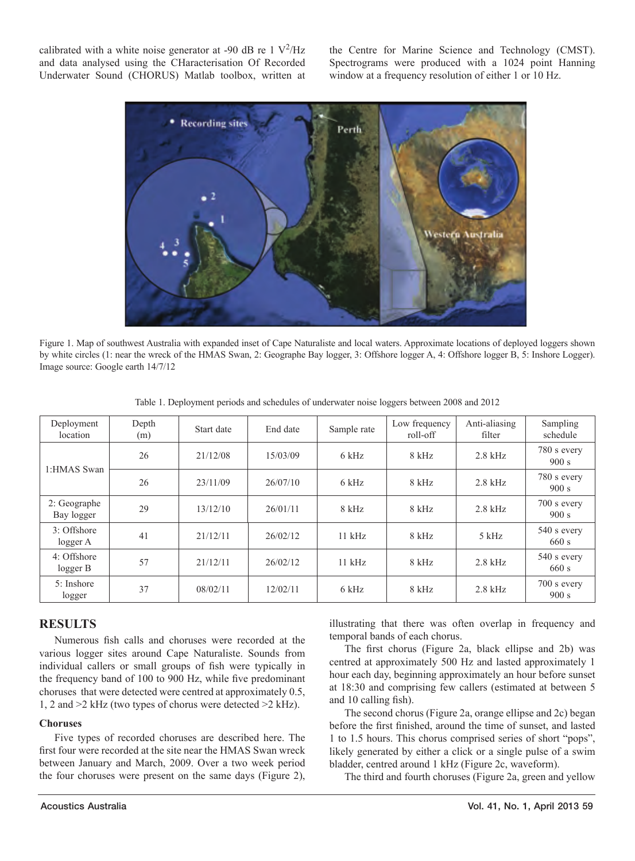calibrated with a white noise generator at -90 dB re 1  $V^2$ /Hz and data analysed using the CHaracterisation Of Recorded Underwater Sound (CHORUS) Matlab toolbox, written at the Centre for Marine Science and Technology (CMST). Spectrograms were produced with a 1024 point Hanning window at a frequency resolution of either 1 or 10 Hz.



Figure 1. Map of southwest Australia with expanded inset of Cape Naturaliste and local waters. Approximate locations of deployed loggers shown by white circles (1: near the wreck of the HMAS Swan, 2: Geographe Bay logger, 3: Offshore logger A, 4: Offshore logger B, 5: Inshore Logger). Image source: Google earth 14/7/12

| Deployment<br>location              | Depth<br>(m) | Start date | End date | Sample rate | Low frequency<br>roll-off | Anti-aliasing<br>filter | Sampling<br>schedule |
|-------------------------------------|--------------|------------|----------|-------------|---------------------------|-------------------------|----------------------|
| 1:HMAS Swan                         | 26           | 21/12/08   | 15/03/09 | 6 kHz       | 8 kHz                     | $2.8$ kHz               | 780 s every<br>900 s |
|                                     | 26           | 23/11/09   | 26/07/10 | $6$ kHz     | 8 kHz                     | $2.8$ kHz               | 780 s every<br>900 s |
| 2: Geographe<br>Bay logger          | 29           | 13/12/10   | 26/01/11 | 8 kHz       | 8 kHz                     | 2.8 kHz                 | 700 s every<br>900 s |
| 3 <sup>-</sup> Offshore<br>logger A | 41           | 21/12/11   | 26/02/12 | 11 kHz      | 8 kHz                     | 5 kHz                   | 540 s every<br>660s  |
| 4: Offshore<br>logger B             | 57           | 21/12/11   | 26/02/12 | $11$ kHz    | 8 kHz                     | $2.8$ kHz               | 540 s every<br>660s  |
| 5: Inshore<br>logger                | 37           | 08/02/11   | 12/02/11 | 6 kHz       | 8 kHz                     | $2.8$ kHz               | 700 s every<br>900 s |

Table 1. Deployment periods and schedules of underwater noise loggers between 2008 and 2012

#### **RESULTS**

Numerous fish calls and choruses were recorded at the various logger sites around Cape Naturaliste. Sounds from individual callers or small groups of fish were typically in the frequency band of 100 to 900 Hz, while five predominant choruses that were detected were centred at approximately 0.5, 1, 2 and >2 kHz (two types of chorus were detected >2 kHz).

## **Choruses**

Five types of recorded choruses are described here. The first four were recorded at the site near the HMAS Swan wreck between January and March, 2009. Over a two week period the four choruses were present on the same days (Figure 2), illustrating that there was often overlap in frequency and temporal bands of each chorus.

The first chorus (Figure 2a, black ellipse and 2b) was centred at approximately 500 Hz and lasted approximately 1 hour each day, beginning approximately an hour before sunset at 18:30 and comprising few callers (estimated at between 5 and 10 calling fish).

The second chorus (Figure 2a, orange ellipse and 2c) began before the first finished, around the time of sunset, and lasted 1 to 1.5 hours. This chorus comprised series of short "pops", likely generated by either a click or a single pulse of a swim bladder, centred around 1 kHz (Figure 2c, waveform).

The third and fourth choruses (Figure 2a, green and yellow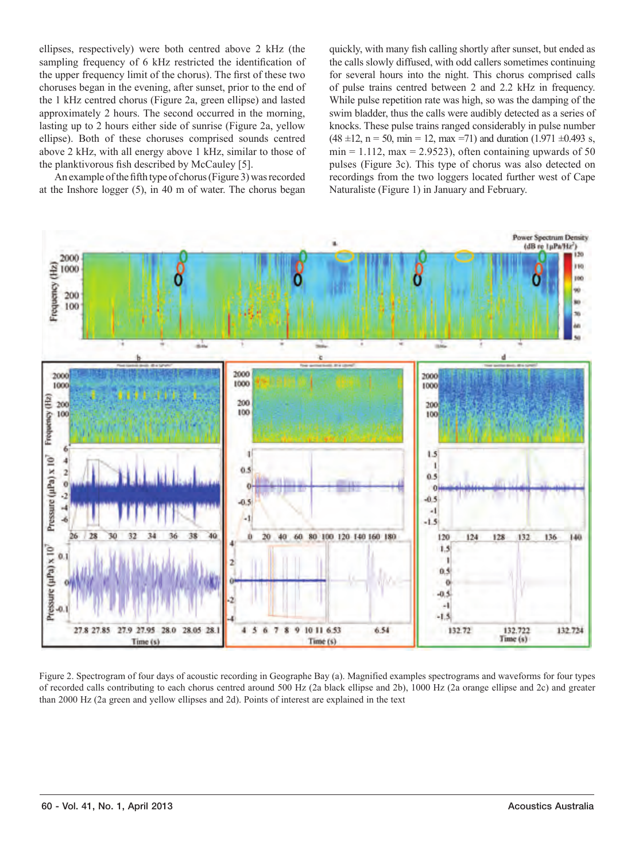ellipses, respectively) were both centred above 2 kHz (the sampling frequency of 6 kHz restricted the identification of the upper frequency limit of the chorus). The first of these two choruses began in the evening, after sunset, prior to the end of the 1 kHz centred chorus (Figure 2a, green ellipse) and lasted approximately 2 hours. The second occurred in the morning, lasting up to 2 hours either side of sunrise (Figure 2a, yellow ellipse). Both of these choruses comprised sounds centred above 2 kHz, with all energy above 1 kHz, similar to those of the planktivorous fish described by McCauley [5].

An example of the fifth type of chorus (Figure 3) was recorded at the Inshore logger (5), in 40 m of water. The chorus began quickly, with many fish calling shortly after sunset, but ended as the calls slowly diffused, with odd callers sometimes continuing for several hours into the night. This chorus comprised calls of pulse trains centred between 2 and 2.2 kHz in frequency. While pulse repetition rate was high, so was the damping of the swim bladder, thus the calls were audibly detected as a series of knocks. These pulse trains ranged considerably in pulse number  $(48 \pm 12, n = 50, m in = 12, max = 71)$  and duration  $(1.971 \pm 0.493 s,$  $min = 1.112$ ,  $max = 2.9523$ , often containing upwards of 50 pulses (Figure 3c). This type of chorus was also detected on recordings from the two loggers located further west of Cape Naturaliste (Figure 1) in January and February.



Figure 2. Spectrogram of four days of acoustic recording in Geographe Bay (a). Magnified examples spectrograms and waveforms for four types of recorded calls contributing to each chorus centred around 500 Hz (2a black ellipse and 2b), 1000 Hz (2a orange ellipse and 2c) and greater than 2000 Hz (2a green and yellow ellipses and 2d). Points of interest are explained in the text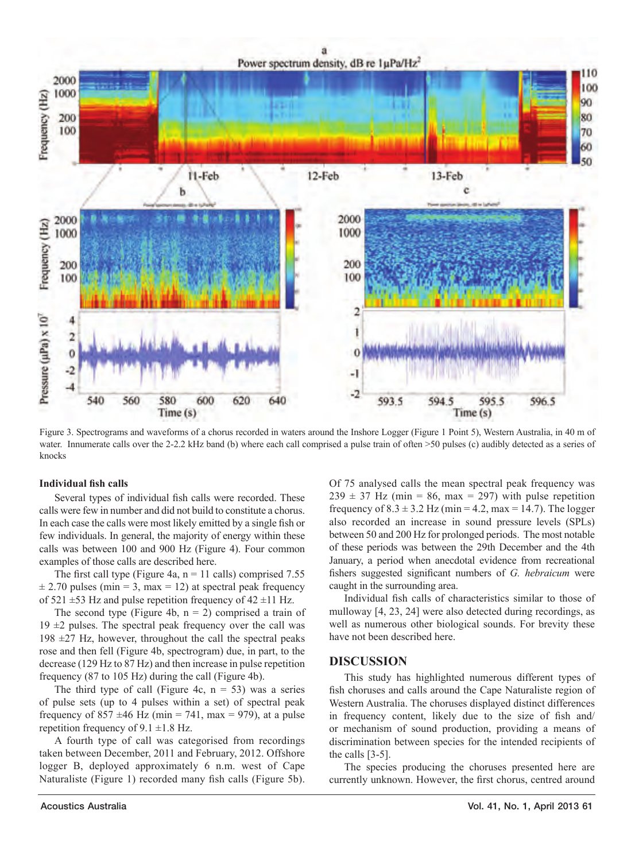

Figure 3. Spectrograms and waveforms of a chorus recorded in waters around the Inshore Logger (Figure 1 Point 5), Western Australia, in 40 m of water. Innumerate calls over the 2-2.2 kHz band (b) where each call comprised a pulse train of often >50 pulses (c) audibly detected as a series of knocks

#### **Individual** fish calls

Several types of individual fish calls were recorded. These calls were few in number and did not build to constitute a chorus. In each case the calls were most likely emitted by a single fish or few individuals. In general, the majority of energy within these calls was between 100 and 900 Hz (Figure 4). Four common examples of those calls are described here.

The first call type (Figure 4a,  $n = 11$  calls) comprised 7.55  $\pm$  2.70 pulses (min = 3, max = 12) at spectral peak frequency of  $521 \pm 53$  Hz and pulse repetition frequency of  $42 \pm 11$  Hz.

The second type (Figure 4b,  $n = 2$ ) comprised a train of  $19 \pm 2$  pulses. The spectral peak frequency over the call was 198 ±27 Hz, however, throughout the call the spectral peaks rose and then fell (Figure 4b, spectrogram) due, in part, to the decrease (129 Hz to 87 Hz) and then increase in pulse repetition frequency (87 to 105 Hz) during the call (Figure 4b).

The third type of call (Figure 4c,  $n = 53$ ) was a series of pulse sets (up to 4 pulses within a set) of spectral peak frequency of  $857 \pm 46$  Hz (min = 741, max = 979), at a pulse repetition frequency of 9.1 ±1.8 Hz.

A fourth type of call was categorised from recordings taken between December, 2011 and February, 2012. Offshore logger B, deployed approximately 6 n.m. west of Cape Naturaliste (Figure 1) recorded many fish calls (Figure 5b).

Of 75 analysed calls the mean spectral peak frequency was  $239 \pm 37$  Hz (min = 86, max = 297) with pulse repetition frequency of  $8.3 \pm 3.2$  Hz (min = 4.2, max = 14.7). The logger also recorded an increase in sound pressure levels (SPLs) between 50 and 200 Hz for prolonged periods. The most notable of these periods was between the 29th December and the 4th January, a period when anecdotal evidence from recreational fishers suggested significant numbers of *G. hebraicum* were caught in the surrounding area.

Individual fish calls of characteristics similar to those of mulloway [4, 23, 24] were also detected during recordings, as well as numerous other biological sounds. For brevity these have not been described here.

#### **DISCUSSION**

This study has highlighted numerous different types of fish choruses and calls around the Cape Naturaliste region of Western Australia. The choruses displayed distinct differences in frequency content, likely due to the size of fish and/ or mechanism of sound production, providing a means of discrimination between species for the intended recipients of the calls [3-5].

The species producing the choruses presented here are currently unknown. However, the first chorus, centred around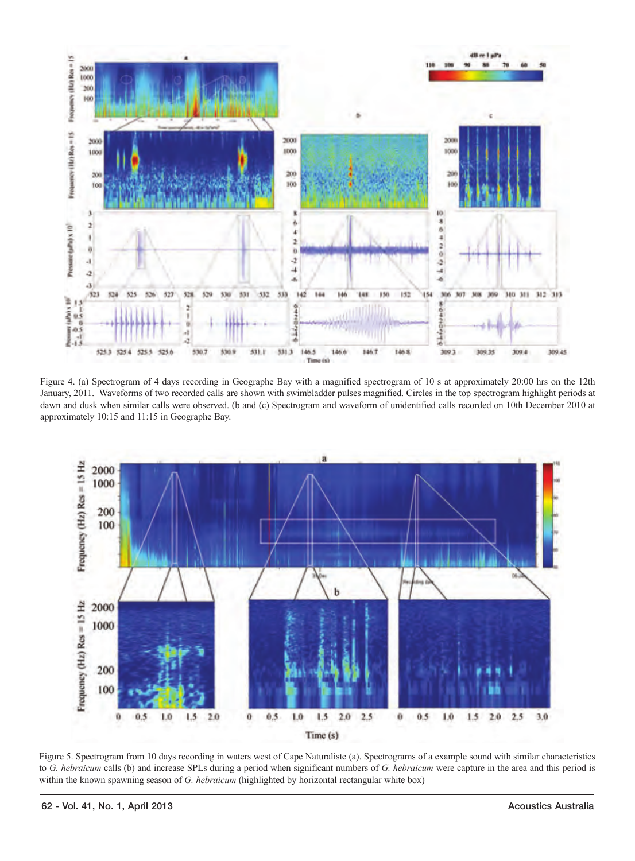

Figure 4. (a) Spectrogram of 4 days recording in Geographe Bay with a magnified spectrogram of 10 s at approximately 20:00 hrs on the 12th January, 2011. Waveforms of two recorded calls are shown with swimbladder pulses magnified. Circles in the top spectrogram highlight periods at dawn and dusk when similar calls were observed. (b and (c) Spectrogram and waveform of unidentified calls recorded on 10th December 2010 at approximately 10:15 and 11:15 in Geographe Bay.



Figure 5. Spectrogram from 10 days recording in waters west of Cape Naturaliste (a). Spectrograms of a example sound with similar characteristics to *G. hebraicum* calls (b) and increase SPLs during a period when significant numbers of *G. hebraicum* were capture in the area and this period is within the known spawning season of *G. hebraicum* (highlighted by horizontal rectangular white box)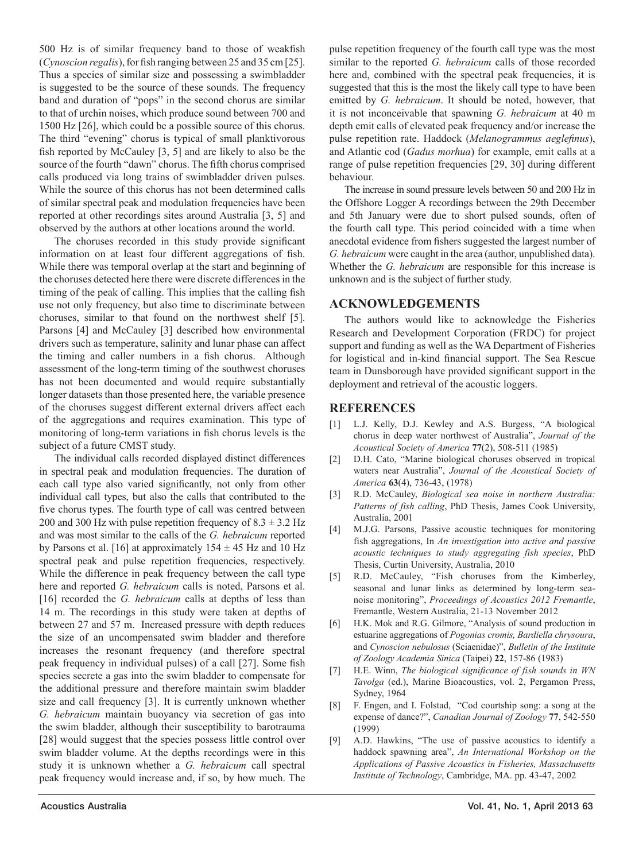500 Hz is of similar frequency band to those of weakfish (*Cynoscion regalis*), for fish ranging between 25 and 35 cm [25]. Thus a species of similar size and possessing a swimbladder is suggested to be the source of these sounds. The frequency band and duration of "pops" in the second chorus are similar to that of urchin noises, which produce sound between 700 and 1500 Hz [26], which could be a possible source of this chorus. The third "evening" chorus is typical of small planktivorous fish reported by McCauley  $[3, 5]$  and are likely to also be the source of the fourth "dawn" chorus. The fifth chorus comprised calls produced via long trains of swimbladder driven pulses. While the source of this chorus has not been determined calls of similar spectral peak and modulation frequencies have been reported at other recordings sites around Australia [3, 5] and observed by the authors at other locations around the world.

The choruses recorded in this study provide significant information on at least four different aggregations of fish. While there was temporal overlap at the start and beginning of the choruses detected here there were discrete differences in the timing of the peak of calling. This implies that the calling fish use not only frequency, but also time to discriminate between choruses, similar to that found on the northwest shelf [5]. Parsons [4] and McCauley [3] described how environmental drivers such as temperature, salinity and lunar phase can affect the timing and caller numbers in a fish chorus. Although assessment of the long-term timing of the southwest choruses has not been documented and would require substantially longer datasets than those presented here, the variable presence of the choruses suggest different external drivers affect each of the aggregations and requires examination. This type of monitoring of long-term variations in fish chorus levels is the subject of a future CMST study.

The individual calls recorded displayed distinct differences in spectral peak and modulation frequencies. The duration of each call type also varied significantly, not only from other individual call types, but also the calls that contributed to the five chorus types. The fourth type of call was centred between 200 and 300 Hz with pulse repetition frequency of  $8.3 \pm 3.2$  Hz and was most similar to the calls of the *G. hebraicum* reported by Parsons et al. [16] at approximately  $154 \pm 45$  Hz and 10 Hz spectral peak and pulse repetition frequencies, respectively. While the difference in peak frequency between the call type here and reported *G. hebraicum* calls is noted, Parsons et al. [16] recorded the *G. hebraicum* calls at depths of less than 14 m. The recordings in this study were taken at depths of between 27 and 57 m. Increased pressure with depth reduces the size of an uncompensated swim bladder and therefore increases the resonant frequency (and therefore spectral peak frequency in individual pulses) of a call [27]. Some fish species secrete a gas into the swim bladder to compensate for the additional pressure and therefore maintain swim bladder size and call frequency [3]. It is currently unknown whether *G. hebraicum* maintain buoyancy via secretion of gas into the swim bladder, although their susceptibility to barotrauma [28] would suggest that the species possess little control over swim bladder volume. At the depths recordings were in this study it is unknown whether a *G. hebraicum* call spectral peak frequency would increase and, if so, by how much. The

pulse repetition frequency of the fourth call type was the most similar to the reported *G. hebraicum* calls of those recorded here and, combined with the spectral peak frequencies, it is suggested that this is the most the likely call type to have been emitted by *G. hebraicum*. It should be noted, however, that it is not inconceivable that spawning *G. hebraicum* at 40 m depth emit calls of elevated peak frequency and/or increase the pulse repetition rate. Haddock (*Melanogrammus aeglefinus*), and Atlantic cod (*Gadus morhua*) for example, emit calls at a range of pulse repetition frequencies [29, 30] during different behaviour.

The increase in sound pressure levels between 50 and 200 Hz in the Offshore Logger A recordings between the 29th December and 5th January were due to short pulsed sounds, often of the fourth call type. This period coincided with a time when anecdotal evidence from fishers suggested the largest number of *G. hebraicum* were caught in the area (author, unpublished data). Whether the *G. hebraicum* are responsible for this increase is unknown and is the subject of further study.

#### **ACKNOWLEDGEMENTS**

The authors would like to acknowledge the Fisheries Research and Development Corporation (FRDC) for project support and funding as well as the WA Department of Fisheries for logistical and in-kind financial support. The Sea Rescue team in Dunsborough have provided significant support in the deployment and retrieval of the acoustic loggers.

#### **REFERENCES**

- [1] L.J. Kelly, D.J. Kewley and A.S. Burgess, "A biological chorus in deep water northwest of Australia", *Journal of the Acoustical Society of America* **77**(2), 508-511 (1985)
- [2] D.H. Cato, "Marine biological choruses observed in tropical waters near Australia", *Journal of the Acoustical Society of America* **63**(4), 736-43, (1978)
- [3] R.D. McCauley, *Biological sea noise in northern Australia: Patterns of fish calling*, PhD Thesis, James Cook University, Australia, 2001
- [4] M.J.G. Parsons, Passive acoustic techniques for monitoring fish aggregations, In *An investigation into active and passive acoustic techniques to study aggregating fish species*, PhD Thesis, Curtin University, Australia, 2010
- [5] R.D. McCauley, "Fish choruses from the Kimberley, seasonal and lunar links as determined by long-term seanoise monitoring", *Proceedings of Acoustics 2012 Fremantle*, Fremantle, Western Australia, 21-13 November 2012
- [6] H.K. Mok and R.G. Gilmore, "Analysis of sound production in estuarine aggregations of *Pogonias cromis, Bardiella chrysoura*, and *Cynoscion nebulosus* (Sciaenidae)", *Bulletin of the Institute of Zoology Academia Sinica* (Taipei) **22**, 157-86 (1983)
- [7] H.E. Winn, *The biological significance of fish sounds in WN Tavolga* (ed.), Marine Bioacoustics, vol. 2, Pergamon Press, Sydney, 1964
- [8] F. Engen, and I. Folstad, "Cod courtship song: a song at the expense of dance?", *Canadian Journal of Zoology* **77**, 542-550 (1999)
- [9] A.D. Hawkins, "The use of passive acoustics to identify a haddock spawning area", *An International Workshop on the Applications of Passive Acoustics in Fisheries, Massachusetts Institute of Technology*, Cambridge, MA. pp. 43-47, 2002